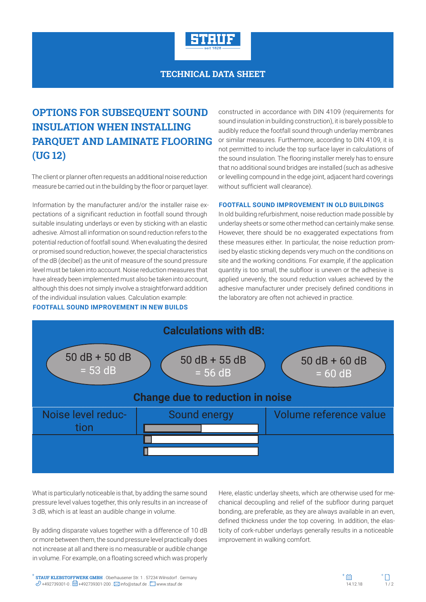

## **TECHNICAL DATA SHEET**

# **OPTIONS FOR SUBSEQUENT SOUND INSULATION WHEN INSTALLING PARQUET AND LAMINATE FLOORING (UG 12)**

The client or planner often requests an additional noise reduction measure be carried out in the building by the floor or parquet layer.

Information by the manufacturer and/or the installer raise expectations of a significant reduction in footfall sound through suitable insulating underlays or even by sticking with an elastic adhesive. Almost all information on sound reduction refers to the potential reduction of footfall sound. When evaluating the desired or promised sound reduction, however, the special characteristics of the dB (decibel) as the unit of measure of the sound pressure level must be taken into account. Noise reduction measures that have already been implemented must also be taken into account, although this does not simply involve a straightforward addition of the individual insulation values. Calculation example:

**FOOTFALL SOUND IMPROVEMENT IN NEW BUILDS**

constructed in accordance with DIN 4109 (requirements for sound insulation in building construction), it is barely possible to audibly reduce the footfall sound through underlay membranes or similar measures. Furthermore, according to DIN 4109, it is not permitted to include the top surface layer in calculations of the sound insulation. The flooring installer merely has to ensure that no additional sound bridges are installed (such as adhesive or levelling compound in the edge joint, adjacent hard coverings without sufficient wall clearance).

#### **FOOTFALL SOUND IMPROVEMENT IN OLD BUILDINGS**

In old building refurbishment, noise reduction made possible by underlay sheets or some other method can certainly make sense. However, there should be no exaggerated expectations from these measures either. In particular, the noise reduction promised by elastic sticking depends very much on the conditions on site and the working conditions. For example, if the application quantity is too small, the subfloor is uneven or the adhesive is applied unevenly, the sound reduction values achieved by the adhesive manufacturer under precisely defined conditions in the laboratory are often not achieved in practice.



What is particularly noticeable is that, by adding the same sound pressure level values together, this only results in an increase of 3 dB, which is at least an audible change in volume.

By adding disparate values together with a difference of 10 dB or more between them, the sound pressure level practically does not increase at all and there is no measurable or audible change in volume. For example, on a floating screed which was properly Here, elastic underlay sheets, which are otherwise used for mechanical decoupling and relief of the subfloor during parquet bonding, are preferable, as they are always available in an even, defined thickness under the top covering. In addition, the elasticity of cork-rubber underlays generally results in a noticeable improvement in walking comfort.

**STAUF KLEBSTOFFWERK GMBH** . Oberhausener Str. 1 . 57234 Wilnsdorf . Germany **STAUF KLEBSTOFFWERK GMBH** . Oberhausener Str. 1 . 57234 Wilnsdorf . Germany  $\mathscr{D}$  +492739301-0 .  $\Box$  +492739301-200 .  $\boxtimes$  info@stauf.de .  $\Box$  www.stauf.de .  $\Box$  www.stauf.de . www.stauf.de . which is a state of t

 $+$  $\mathbb{R}$